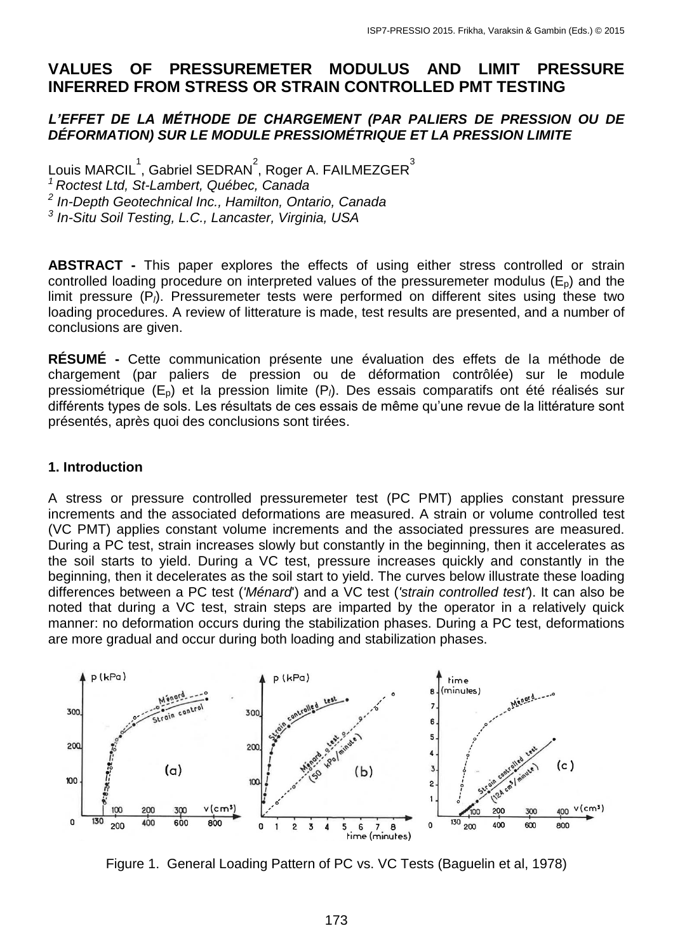# **VALUES OF PRESSUREMETER MODULUS AND LIMIT PRESSURE INFERRED FROM STRESS OR STRAIN CONTROLLED PMT TESTING**

### *L'EFFET DE LA MÉTHODE DE CHARGEMENT (PAR PALIERS DE PRESSION OU DE DÉFORMATION) SUR LE MODULE PRESSIOMÉTRIQUE ET LA PRESSION LIMITE*

Louis MARCIL $^1$ , Gabriel SEDRAN $^2$ , Roger A. FAILMEZGER $^3$  *Roctest Ltd, St-Lambert, Québec, Canada In-Depth Geotechnical Inc., Hamilton, Ontario, Canada In-Situ Soil Testing, L.C., Lancaster, Virginia, USA*

**ABSTRACT -** This paper explores the effects of using either stress controlled or strain controlled loading procedure on interpreted values of the pressuremeter modulus  $(E_p)$  and the limit pressure (P<sub>*l*</sub>). Pressuremeter tests were performed on different sites using these two loading procedures. A review of litterature is made, test results are presented, and a number of conclusions are given.

**RÉSUMÉ -** Cette communication présente une évaluation des effets de la méthode de chargement (par paliers de pression ou de déformation contrôlée) sur le module pressiométrique (E<sub>p</sub>) et la pression limite (P<sub>i</sub>). Des essais comparatifs ont été réalisés sur différents types de sols. Les résultats de ces essais de même qu'une revue de la littérature sont présentés, après quoi des conclusions sont tirées.

### **1. Introduction**

A stress or pressure controlled pressuremeter test (PC PMT) applies constant pressure increments and the associated deformations are measured. A strain or volume controlled test (VC PMT) applies constant volume increments and the associated pressures are measured. During a PC test, strain increases slowly but constantly in the beginning, then it accelerates as the soil starts to yield. During a VC test, pressure increases quickly and constantly in the beginning, then it decelerates as the soil start to yield. The curves below illustrate these loading differences between a PC test (*'Ménard*') and a VC test (*'strain controlled test'*). It can also be noted that during a VC test, strain steps are imparted by the operator in a relatively quick manner: no deformation occurs during the stabilization phases. During a PC test, deformations are more gradual and occur during both loading and stabilization phases.



Figure 1. General Loading Pattern of PC vs. VC Tests (Baguelin et al, 1978)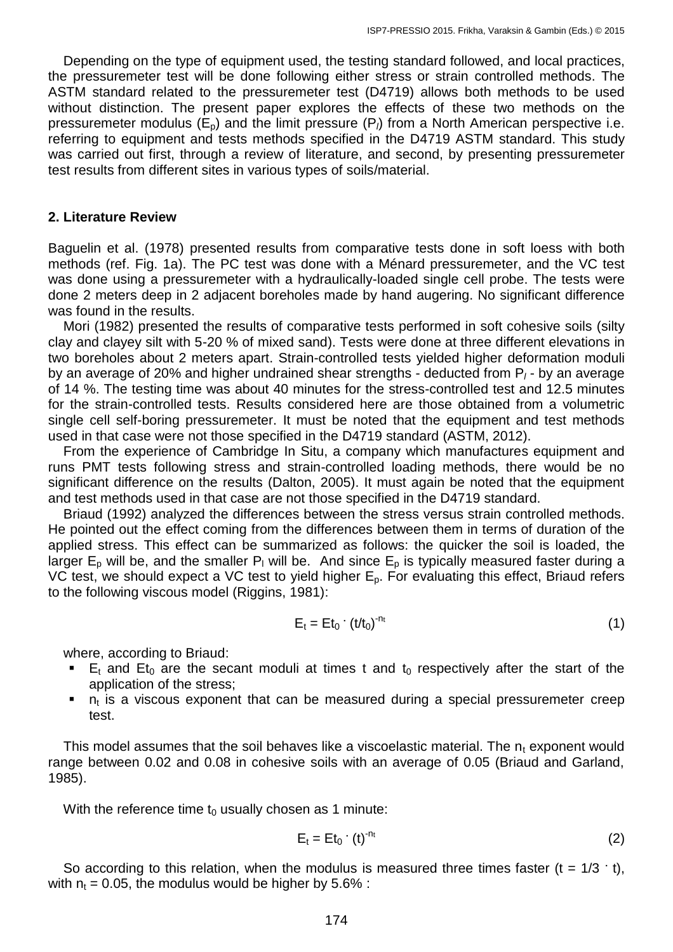Depending on the type of equipment used, the testing standard followed, and local practices, the pressuremeter test will be done following either stress or strain controlled methods. The ASTM standard related to the pressuremeter test (D4719) allows both methods to be used without distinction. The present paper explores the effects of these two methods on the pressuremeter modulus  $(E_p)$  and the limit pressure  $(P_l)$  from a North American perspective i.e. referring to equipment and tests methods specified in the D4719 ASTM standard. This study was carried out first, through a review of literature, and second, by presenting pressuremeter test results from different sites in various types of soils/material.

#### **2. Literature Review**

Baguelin et al. (1978) presented results from comparative tests done in soft loess with both methods (ref. Fig. 1a). The PC test was done with a Ménard pressuremeter, and the VC test was done using a pressuremeter with a hydraulically-loaded single cell probe. The tests were done 2 meters deep in 2 adjacent boreholes made by hand augering. No significant difference was found in the results.

 Mori (1982) presented the results of comparative tests performed in soft cohesive soils (silty clay and clayey silt with 5-20 % of mixed sand). Tests were done at three different elevations in two boreholes about 2 meters apart. Strain-controlled tests yielded higher deformation moduli by an average of 20% and higher undrained shear strengths - deducted from P*<sup>l</sup>* - by an average of 14 %. The testing time was about 40 minutes for the stress-controlled test and 12.5 minutes for the strain-controlled tests. Results considered here are those obtained from a volumetric single cell self-boring pressuremeter. It must be noted that the equipment and test methods used in that case were not those specified in the D4719 standard (ASTM, 2012).

 From the experience of Cambridge In Situ, a company which manufactures equipment and runs PMT tests following stress and strain-controlled loading methods, there would be no significant difference on the results (Dalton, 2005). It must again be noted that the equipment and test methods used in that case are not those specified in the D4719 standard.

 Briaud (1992) analyzed the differences between the stress versus strain controlled methods. He pointed out the effect coming from the differences between them in terms of duration of the applied stress. This effect can be summarized as follows: the quicker the soil is loaded, the larger  $E_p$  will be, and the smaller P<sub>l</sub> will be. And since  $E_p$  is typically measured faster during a VC test, we should expect a VC test to yield higher  $E_p$ . For evaluating this effect, Briaud refers to the following viscous model (Riggins, 1981):

$$
E_t = Et_0 \cdot (t/t_0)^{-nt}
$$
 (1)

where, according to Briaud:

- $E_t$  and  $Et_0$  are the secant moduli at times t and t<sub>0</sub> respectively after the start of the application of the stress;
- $n<sub>t</sub>$  is a viscous exponent that can be measured during a special pressuremeter creep test.

This model assumes that the soil behaves like a viscoelastic material. The  $n_t$  exponent would range between 0.02 and 0.08 in cohesive soils with an average of 0.05 (Briaud and Garland, 1985).

With the reference time  $t_0$  usually chosen as 1 minute:

$$
E_t = Et_0 \cdot (t)^{-n_t}
$$
 (2)

So according to this relation, when the modulus is measured three times faster  $(t = 1/3 \cdot t)$ , with  $n_t = 0.05$ , the modulus would be higher by 5.6% :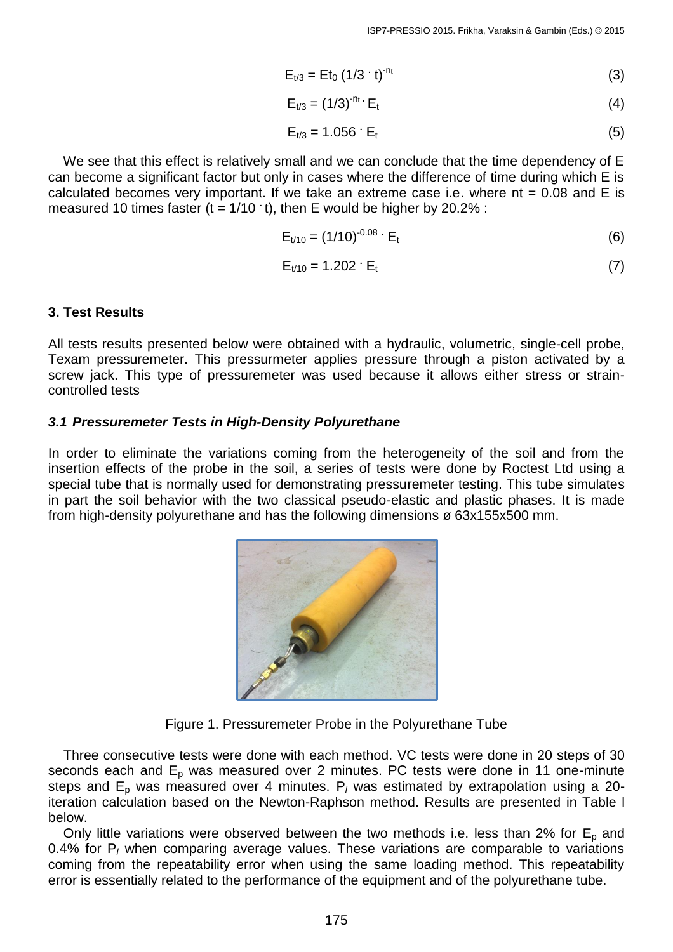$$
E_{t/3} = Et_0 (1/3 \cdot t)^{-n_t} \tag{3}
$$

$$
E_{t/3} = (1/3)^{-n_t} \cdot E_t \tag{4}
$$

$$
E_{t/3} = 1.056 \cdot E_t \tag{5}
$$

 We see that this effect is relatively small and we can conclude that the time dependency of E can become a significant factor but only in cases where the difference of time during which E is calculated becomes very important. If we take an extreme case i.e. where  $nt = 0.08$  and  $E$  is measured 10 times faster  $(t = 1/10 \cdot t)$ , then E would be higher by 20.2% :

$$
E_{t/10} = (1/10)^{-0.08} \cdot E_t
$$
 (6)

$$
E_{t/10} = 1.202 \cdot E_t \tag{7}
$$

### **3. Test Results**

All tests results presented below were obtained with a hydraulic, volumetric, single-cell probe, Texam pressuremeter. This pressurmeter applies pressure through a piston activated by a screw jack. This type of pressuremeter was used because it allows either stress or straincontrolled tests

### *3.1 Pressuremeter Tests in High-Density Polyurethane*

In order to eliminate the variations coming from the heterogeneity of the soil and from the insertion effects of the probe in the soil, a series of tests were done by Roctest Ltd using a special tube that is normally used for demonstrating pressuremeter testing. This tube simulates in part the soil behavior with the two classical pseudo-elastic and plastic phases. It is made from high-density polyurethane and has the following dimensions ø 63x155x500 mm.



Figure 1. Pressuremeter Probe in the Polyurethane Tube

 Three consecutive tests were done with each method. VC tests were done in 20 steps of 30 seconds each and  $E_p$  was measured over 2 minutes. PC tests were done in 11 one-minute steps and E<sub>p</sub> was measured over 4 minutes. P<sub>l</sub> was estimated by extrapolation using a 20iteration calculation based on the Newton-Raphson method. Results are presented in Table l below.

Only little variations were observed between the two methods i.e. less than 2% for  $E_p$  and 0.4% for P*<sup>l</sup>* when comparing average values. These variations are comparable to variations coming from the repeatability error when using the same loading method. This repeatability error is essentially related to the performance of the equipment and of the polyurethane tube.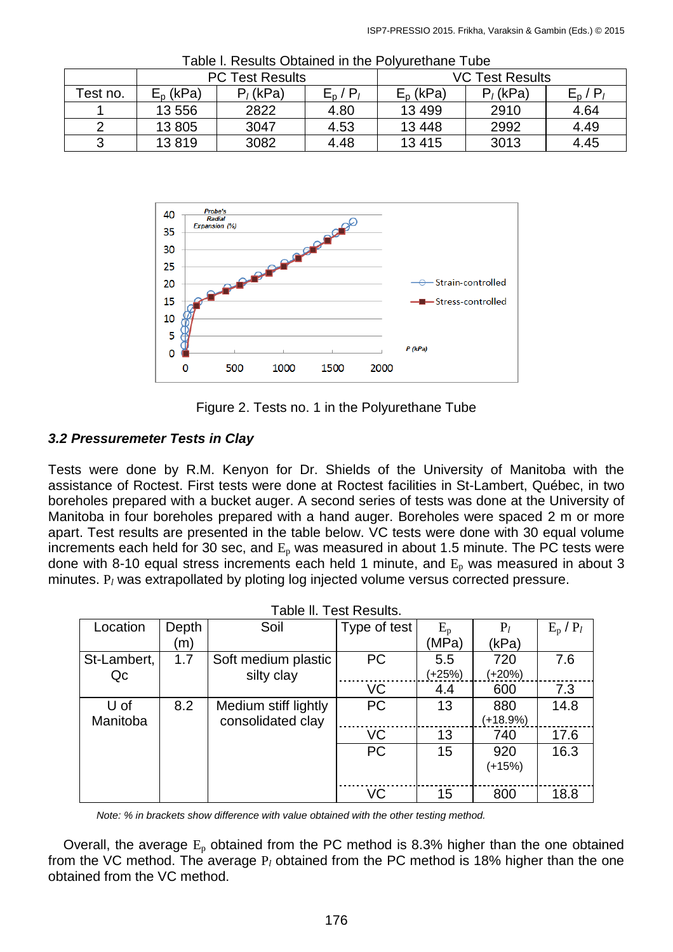|          | <b>PC Test Results</b> |             |         | <b>VC Test Results</b> |             |         |  |
|----------|------------------------|-------------|---------|------------------------|-------------|---------|--|
| Test no. | $E_{\rm p}$ (kPa)      | $P_i$ (kPa) | $E_n/P$ | $E_{p}$ (kPa)          | $P_i$ (kPa) | $E_n/P$ |  |
|          | 13 556                 | 2822        | 4.80    | 13 4 99                | 2910        | 4.64    |  |
|          | 13 805                 | 3047        | 4.53    | 13 4 48                | 2992        | 4.49    |  |
|          | 13819                  | 3082        | 4.48    | 13415                  | 3013        | 4.45    |  |

Table l. Results Obtained in the Polyurethane Tube



Figure 2. Tests no. 1 in the Polyurethane Tube

# *3.2 Pressuremeter Tests in Clay*

Tests were done by R.M. Kenyon for Dr. Shields of the University of Manitoba with the assistance of Roctest. First tests were done at Roctest facilities in St-Lambert, Québec, in two boreholes prepared with a bucket auger. A second series of tests was done at the University of Manitoba in four boreholes prepared with a hand auger. Boreholes were spaced 2 m or more apart. Test results are presented in the table below. VC tests were done with 30 equal volume increments each held for 30 sec, and  $E_p$  was measured in about 1.5 minute. The PC tests were done with 8-10 equal stress increments each held 1 minute, and  $E_p$  was measured in about 3 minutes. P*<sup>l</sup>* was extrapollated by ploting log injected volume versus corrected pressure.

| able II. Test Results. |       |                      |              |             |            |               |
|------------------------|-------|----------------------|--------------|-------------|------------|---------------|
| Location               | Depth | Soil                 | Type of test | $E_{\rm p}$ | $P_l$      | $E_p$ / $P_l$ |
|                        | (m)   |                      |              | (MPa)       | (kPa)      |               |
| St-Lambert,            | 1.7   | Soft medium plastic  | <b>PC</b>    | 5.5         | 720        | 7.6           |
| Qc                     |       | silty clay           |              | (+25%)      | $(+20%)$   |               |
|                        |       |                      | VC           | 4.4         | 600        | 7.3           |
| U of                   | 8.2   | Medium stiff lightly | <b>PC</b>    | 13          | 880        | 14.8          |
| Manitoba               |       | consolidated clay    |              |             | $(+18.9%)$ |               |
|                        |       |                      | VC           | 13          | 740        | 17.6          |
|                        |       |                      | <b>PC</b>    | 15          | 920        | 16.3          |
|                        |       |                      |              |             | (+15%)     |               |
|                        |       |                      |              |             |            |               |
|                        |       |                      | VC           | 15          | 800        | 18.8          |

Table ll. Test Results.

*Note: % in brackets show difference with value obtained with the other testing method.*

Overall, the average  $E_p$  obtained from the PC method is 8.3% higher than the one obtained from the VC method. The average P*<sup>l</sup>* obtained from the PC method is 18% higher than the one obtained from the VC method.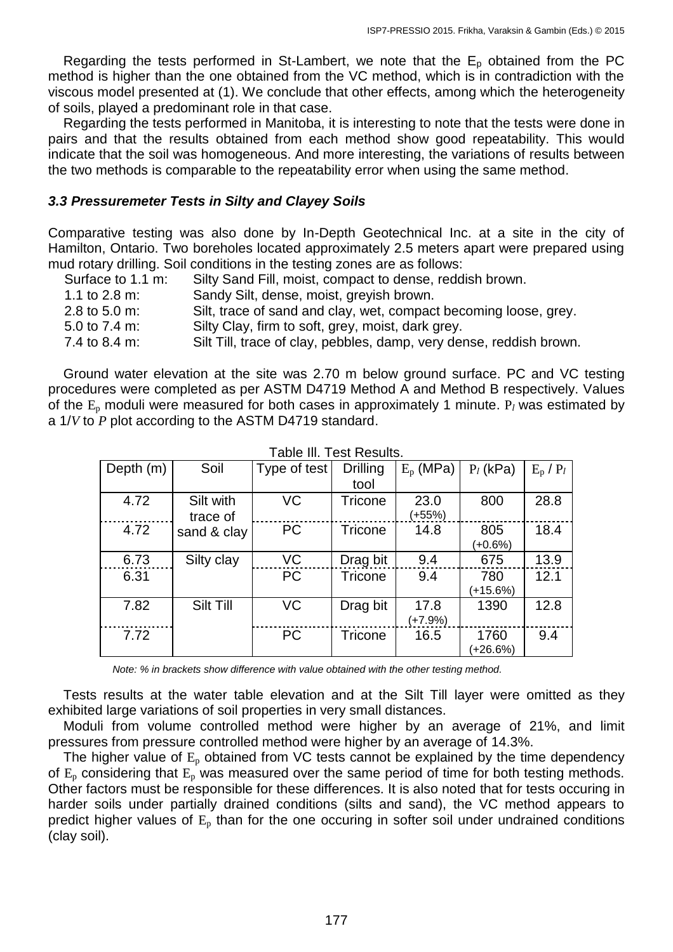Regarding the tests performed in St-Lambert, we note that the  $E<sub>p</sub>$  obtained from the PC method is higher than the one obtained from the VC method, which is in contradiction with the viscous model presented at (1). We conclude that other effects, among which the heterogeneity of soils, played a predominant role in that case.

 Regarding the tests performed in Manitoba, it is interesting to note that the tests were done in pairs and that the results obtained from each method show good repeatability. This would indicate that the soil was homogeneous. And more interesting, the variations of results between the two methods is comparable to the repeatability error when using the same method.

### *3.3 Pressuremeter Tests in Silty and Clayey Soils*

Comparative testing was also done by In-Depth Geotechnical Inc. at a site in the city of Hamilton, Ontario. Two boreholes located approximately 2.5 meters apart were prepared using mud rotary drilling. Soil conditions in the testing zones are as follows:

| Surface to 1.1 m:        | Silty Sand Fill, moist, compact to dense, reddish brown.            |
|--------------------------|---------------------------------------------------------------------|
| 1.1 to $2.8 \text{ m}$ : | Sandy Silt, dense, moist, greyish brown.                            |
| 2.8 to 5.0 m:            | Silt, trace of sand and clay, wet, compact becoming loose, grey.    |
| 5.0 to $7.4 \text{ m}$ : | Silty Clay, firm to soft, grey, moist, dark grey.                   |
| 7.4 to 8.4 m:            | Silt Till, trace of clay, pebbles, damp, very dense, reddish brown. |

 Ground water elevation at the site was 2.70 m below ground surface. PC and VC testing procedures were completed as per ASTM D4719 Method A and Method B respectively. Values of the  $E_p$  moduli were measured for both cases in approximately 1 minute.  $P_l$  was estimated by a 1/*V* to *P* plot according to the ASTM D4719 standard.

| Depth $(m)$ | Soil        | Type of test | <b>Drilling</b> | $E_p$ (MPa) | $P_l$ (kPa) | $E_p$ / $P_l$ |
|-------------|-------------|--------------|-----------------|-------------|-------------|---------------|
|             |             |              | tool            |             |             |               |
| 4.72        | Silt with   | VC           | Tricone         | 23.0        | 800         | 28.8          |
|             | trace of    |              |                 | (+55%)      |             |               |
| 4.72        | sand & clay | <b>PC</b>    | Tricone         | 14.8        | 805         | 18.4          |
|             |             |              |                 |             | $(+0.6%)$   |               |
| 6.73        | Silty clay  | VC           | Drag bit        | 9.4         | 675         | 13.9          |
| 6.31        |             | <b>PC</b>    | Tricone         | 9.4         | 780         | 12.1          |
|             |             |              |                 |             | $(+15.6%)$  |               |
| 7.82        | Silt Till   | VC           | Drag bit        | 17.8        | 1390        | 12.8          |
|             |             |              |                 | $(+7.9%)$   |             |               |
| 7.72        |             | <b>PC</b>    | <b>Tricone</b>  | 16.5        | 1760        | 9.4           |
|             |             |              |                 |             | $+26.6%$    |               |

Table Ill. Test Results.

*Note: % in brackets show difference with value obtained with the other testing method.*

 Tests results at the water table elevation and at the Silt Till layer were omitted as they exhibited large variations of soil properties in very small distances.

 Moduli from volume controlled method were higher by an average of 21%, and limit pressures from pressure controlled method were higher by an average of 14.3%.

The higher value of  $E_p$  obtained from VC tests cannot be explained by the time dependency of  $E_p$  considering that  $E_p$  was measured over the same period of time for both testing methods. Other factors must be responsible for these differences. It is also noted that for tests occuring in harder soils under partially drained conditions (silts and sand), the VC method appears to predict higher values of  $E_p$  than for the one occuring in softer soil under undrained conditions (clay soil).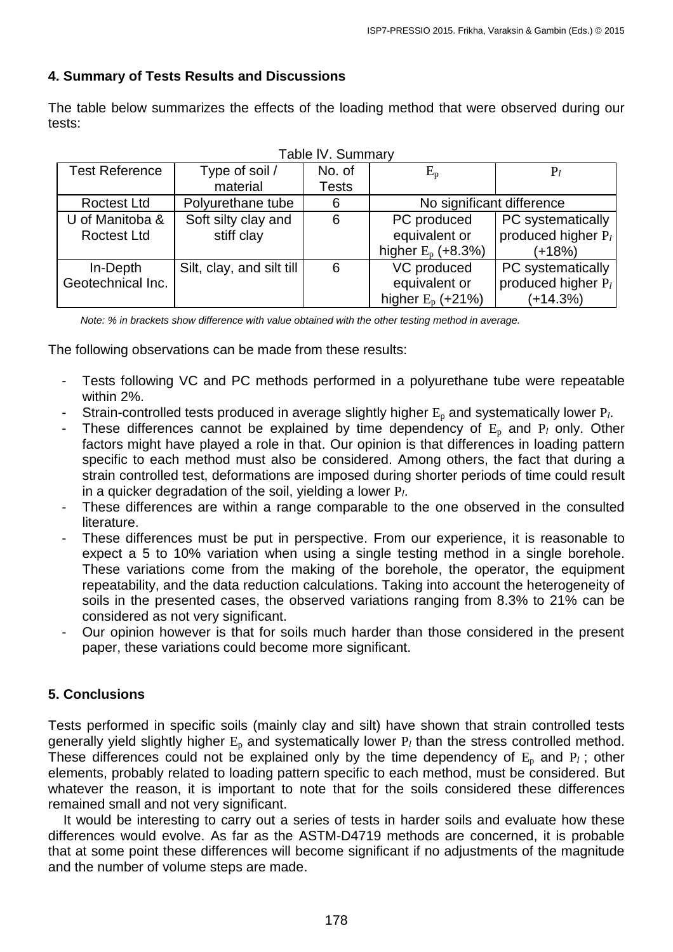# **4. Summary of Tests Results and Discussions**

The table below summarizes the effects of the loading method that were observed during our tests:

| Table IV. Summary     |                           |              |                           |                                |  |
|-----------------------|---------------------------|--------------|---------------------------|--------------------------------|--|
| <b>Test Reference</b> | Type of soil /            | No. of       | $E_{\rm p}$               | $P_i$                          |  |
|                       | material                  | <b>Tests</b> |                           |                                |  |
| <b>Roctest Ltd</b>    | Polyurethane tube         | 6            | No significant difference |                                |  |
| U of Manitoba &       | Soft silty clay and       | 6            | PC produced               | PC systematically              |  |
| <b>Roctest Ltd</b>    | stiff clay                |              | equivalent or             | produced higher $P_l$          |  |
|                       |                           |              | higher $E_p$ (+8.3%)      | $(+18%)$                       |  |
| In-Depth              | Silt, clay, and silt till | 6            | VC produced               | PC systematically              |  |
| Geotechnical Inc.     |                           |              | equivalent or             | produced higher P <sub>l</sub> |  |
|                       |                           |              | higher $E_p$ (+21%)       | $(+14.3%)$                     |  |

*Note: % in brackets show difference with value obtained with the other testing method in average.*

The following observations can be made from these results:

- Tests following VC and PC methods performed in a polyurethane tube were repeatable within 2%.
- Strain-controlled tests produced in average slightly higher  $E_p$  and systematically lower  $P_l$ .
- These differences cannot be explained by time dependency of  $E_p$  and  $P_l$  only. Other factors might have played a role in that. Our opinion is that differences in loading pattern specific to each method must also be considered. Among others, the fact that during a strain controlled test, deformations are imposed during shorter periods of time could result in a quicker degradation of the soil, yielding a lower P*l*.
- These differences are within a range comparable to the one observed in the consulted literature.
- These differences must be put in perspective. From our experience, it is reasonable to expect a 5 to 10% variation when using a single testing method in a single borehole. These variations come from the making of the borehole, the operator, the equipment repeatability, and the data reduction calculations. Taking into account the heterogeneity of soils in the presented cases, the observed variations ranging from 8.3% to 21% can be considered as not very significant.
- Our opinion however is that for soils much harder than those considered in the present paper, these variations could become more significant.

# **5. Conclusions**

Tests performed in specific soils (mainly clay and silt) have shown that strain controlled tests generally yield slightly higher E<sub>p</sub> and systematically lower P<sub>l</sub> than the stress controlled method. These differences could not be explained only by the time dependency of  $E_p$  and  $P_l$ ; other elements, probably related to loading pattern specific to each method, must be considered. But whatever the reason, it is important to note that for the soils considered these differences remained small and not very significant.

 It would be interesting to carry out a series of tests in harder soils and evaluate how these differences would evolve. As far as the ASTM-D4719 methods are concerned, it is probable that at some point these differences will become significant if no adjustments of the magnitude and the number of volume steps are made.